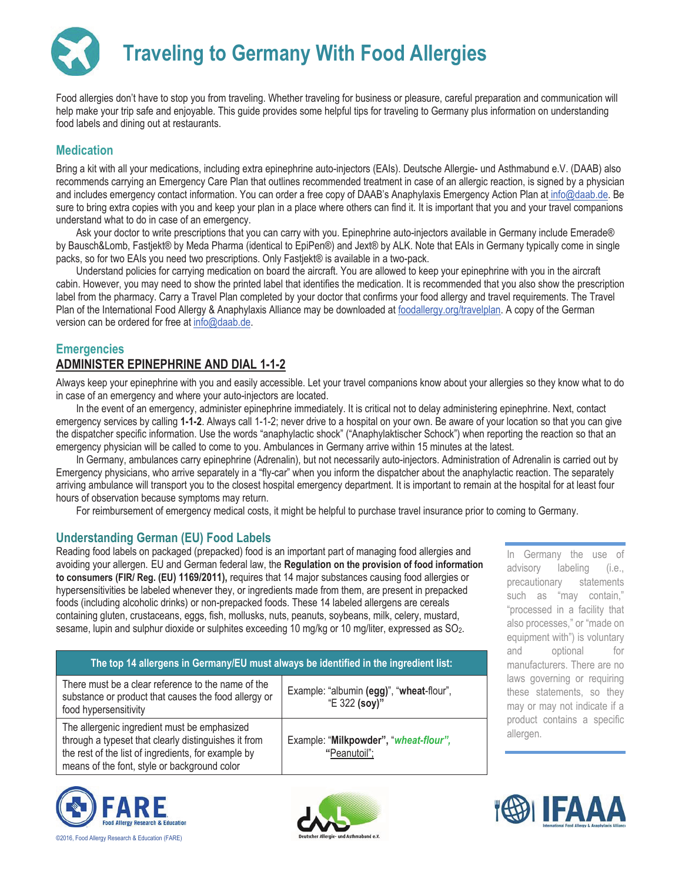# **Traveling to Germany With Food Allergies**

Food allergies don't have to stop you from traveling. Whether traveling for business or pleasure, careful preparation and communication will help make your trip safe and enjoyable. This guide provides some helpful tips for traveling to Germany plus information on understanding food labels and dining out at restaurants.

#### **Medication**

Bring a kit with all your medications, including extra epinephrine auto-injectors (EAIs). Deutsche Allergie- und Asthmabund e.V. (DAAB) also recommends carrying an Emergency Care Plan that outlines recommended treatment in case of an allergic reaction, is signed by a physician and includes emergency contact information. You can order a free copy of DAAB's Anaphylaxis Emergency Action Plan at info@daab.de. Be sure to bring extra copies with you and keep your plan in a place where others can find it. It is important that you and your travel companions understand what to do in case of an emergency.

Ask your doctor to write prescriptions that you can carry with you. Epinephrine auto-injectors available in Germany include Emerade® by Bausch&Lomb, Fastjekt® by Meda Pharma (identical to EpiPen®) and Jext® by ALK. Note that EAIs in Germany typically come in single packs, so for two EAIs you need two prescriptions. Only Fastjekt® is available in a two-pack.

Understand policies for carrying medication on board the aircraft. You are allowed to keep your epinephrine with you in the aircraft cabin. However, you may need to show the printed label that identifies the medication. It is recommended that you also show the prescription label from the pharmacy. Carry a Travel Plan completed by your doctor that confirms your food allergy and travel requirements. The Travel Plan of the International Food Allergy & Anaphylaxis Alliance may be downloaded at foodallergy.org/travelplan. A copy of the German version can be ordered for free at info@daab.de.

#### **Emergencies**

# **ADMINISTER EPINEPHRINE AND DIAL 1-1-2**

Always keep your epinephrine with you and easily accessible. Let your travel companions know about your allergies so they know what to do in case of an emergency and where your auto-injectors are located.

In the event of an emergency, administer epinephrine immediately. It is critical not to delay administering epinephrine. Next, contact emergency services by calling **1-1-2**. Always call 1-1-2; never drive to a hospital on your own. Be aware of your location so that you can give the dispatcher specific information. Use the words "anaphylactic shock" ("Anaphylaktischer Schock") when reporting the reaction so that an emergency physician will be called to come to you. Ambulances in Germany arrive within 15 minutes at the latest.

In Germany, ambulances carry epinephrine (Adrenalin), but not necessarily auto-injectors. Administration of Adrenalin is carried out by Emergency physicians, who arrive separately in a "fly-car" when you inform the dispatcher about the anaphylactic reaction. The separately arriving ambulance will transport you to the closest hospital emergency department. It is important to remain at the hospital for at least four hours of observation because symptoms may return.

For reimbursement of emergency medical costs, it might be helpful to purchase travel insurance prior to coming to Germany.

#### **Understanding German (EU) Food Labels**

Reading food labels on packaged (prepacked) food is an important part of managing food allergies and avoiding your allergen. EU and German federal law, the **Regulation on the provision of food information to consumers (FIR/ Reg. (EU) 1169/2011),** requires that 14 major substances causing food allergies or hypersensitivities be labeled whenever they, or ingredients made from them, are present in prepacked foods (including alcoholic drinks) or non-prepacked foods. These 14 labeled allergens are cereals containing gluten, crustaceans, eggs, fish, mollusks, nuts, peanuts, soybeans, milk, celery, mustard, sesame, lupin and sulphur dioxide or sulphites exceeding 10 mg/kg or 10 mg/liter, expressed as SO2.

| The top 14 allergens in Germany/EU must always be identified in the ingredient list:                                                                                                                        |                                                           |
|-------------------------------------------------------------------------------------------------------------------------------------------------------------------------------------------------------------|-----------------------------------------------------------|
| There must be a clear reference to the name of the<br>substance or product that causes the food allergy or<br>food hypersensitivity                                                                         | Example: "albumin (egg)", "wheat-flour",<br>"E 322 (soy)" |
| The allergenic ingredient must be emphasized<br>through a typeset that clearly distinguishes it from<br>the rest of the list of ingredients, for example by<br>means of the font, style or background color | Example: "Milkpowder", "wheat-flour",<br>"Peanutoil";     |





In Germany the use of advisory labeling (i.e., precautionary statements such as "may contain," "processed in a facility that also processes," or "made on equipment with") is voluntary and optional for manufacturers. There are no laws governing or requiring these statements, so they may or may not indicate if a product contains a specific allergen.